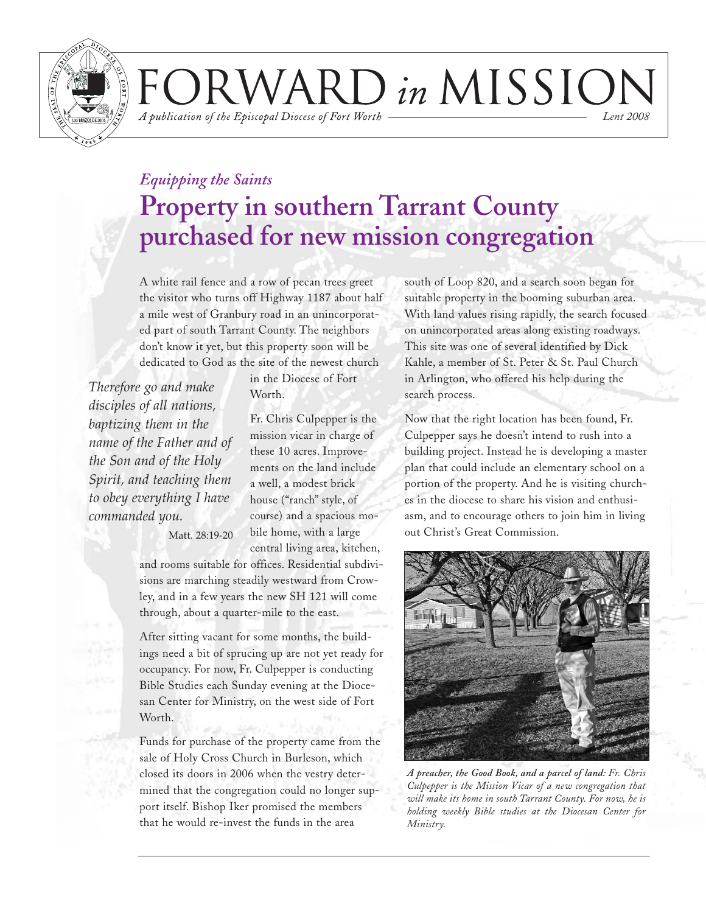

VARD in MISSION A publication of the Episcopal Diocese of Fort Worth *Lent 2008*

*Equipping the Saints*

# **Property in southern Tarrant County purchased for new mission congregation**

A white rail fence and a row of pecan trees greet the visitor who turns off Highway 1187 about half a mile west of Granbury road in an unincorporated part of south Tarrant County. The neighbors don't know it yet, but this property soon will be dedicated to God as the site of the newest church

*Therefore go and make disciples of all nations, baptizing them in the name of the Father and of the Son and of the Holy Spirit, and teaching them to obey everything I have commanded you.*

in the Diocese of Fort Worth.

Fr. Chris Culpepper is the mission vicar in charge of these 10 acres. Improvements on the land include a well, a modest brick house ("ranch" style, of course) and a spacious mobile home, with a large central living area, kitchen,

Matt. 28:19-20

and rooms suitable for offices. Residential subdivisions are marching steadily westward from Crowley, and in a few years the new SH 121 will come through, about a quarter-mile to the east.

After sitting vacant for some months, the buildings need a bit of sprucing up are not yet ready for occupancy. For now, Fr. Culpepper is conducting Bible Studies each Sunday evening at the Diocesan Center for Ministry, on the west side of Fort Worth.

Funds for purchase of the property came from the sale of Holy Cross Church in Burleson, which closed its doors in 2006 when the vestry determined that the congregation could no longer support itself. Bishop Iker promised the members that he would re-invest the funds in the area

south of Loop 820, and a search soon began for suitable property in the booming suburban area. With land values rising rapidly, the search focused on unincorporated areas along existing roadways. This site was one of several identified by Dick Kahle, a member of St. Peter & St. Paul Church in Arlington, who offered his help during the search process.

Now that the right location has been found, Fr. Culpepper says he doesn't intend to rush into a building project. Instead he is developing a master plan that could include an elementary school on a portion of the property. And he is visiting churches in the diocese to share his vision and enthusiasm, and to encourage others to join him in living out Christ's Great Commission.



*A preacher, the Good Book, and a parcel of land: Fr. Chris Culpepper is the Mission Vicar of a new congregation that will make its home in south Tarrant County. For now, he is holding weekly Bible studies at the Diocesan Center for Ministry.*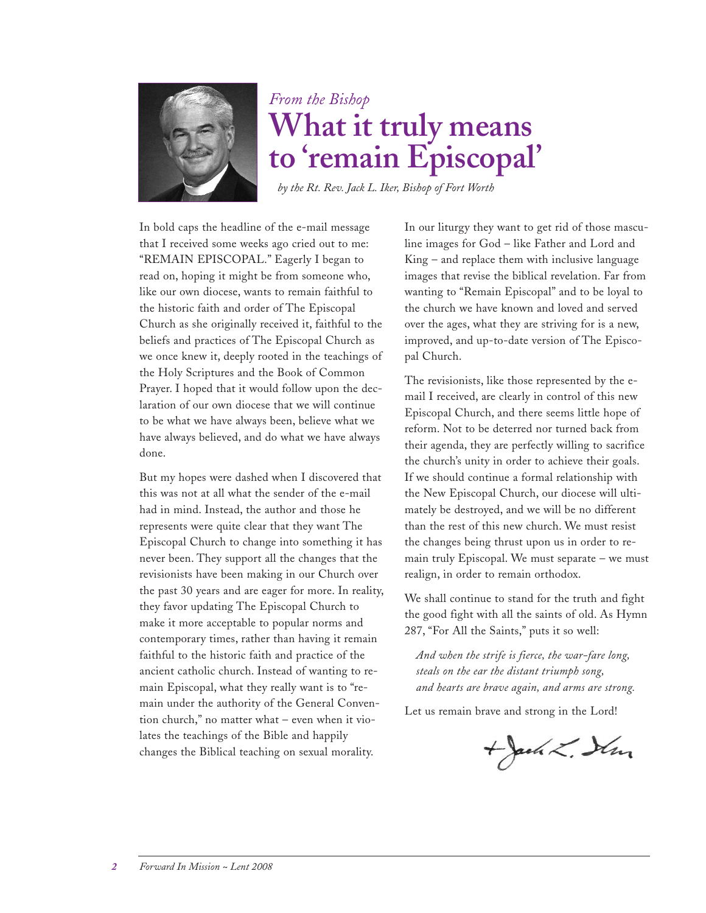

## *From the Bishop* **What it truly means to 'remain Episcopal'**

*by the Rt. Rev. Jack L. Iker, Bishop of Fort Worth*

In bold caps the headline of the e-mail message that I received some weeks ago cried out to me: "REMAIN EPISCOPAL." Eagerly I began to read on, hoping it might be from someone who, like our own diocese, wants to remain faithful to the historic faith and order of The Episcopal Church as she originally received it, faithful to the beliefs and practices of The Episcopal Church as we once knew it, deeply rooted in the teachings of the Holy Scriptures and the Book of Common Prayer. I hoped that it would follow upon the declaration of our own diocese that we will continue to be what we have always been, believe what we have always believed, and do what we have always done.

But my hopes were dashed when I discovered that this was not at all what the sender of the e-mail had in mind. Instead, the author and those he represents were quite clear that they want The Episcopal Church to change into something it has never been. They support all the changes that the revisionists have been making in our Church over the past 30 years and are eager for more. In reality, they favor updating The Episcopal Church to make it more acceptable to popular norms and contemporary times, rather than having it remain faithful to the historic faith and practice of the ancient catholic church. Instead of wanting to remain Episcopal, what they really want is to "remain under the authority of the General Convention church," no matter what – even when it violates the teachings of the Bible and happily changes the Biblical teaching on sexual morality.

In our liturgy they want to get rid of those masculine images for God – like Father and Lord and King – and replace them with inclusive language images that revise the biblical revelation. Far from wanting to "Remain Episcopal" and to be loyal to the church we have known and loved and served over the ages, what they are striving for is a new, improved, and up-to-date version of The Episcopal Church.

The revisionists, like those represented by the email I received, are clearly in control of this new Episcopal Church, and there seems little hope of reform. Not to be deterred nor turned back from their agenda, they are perfectly willing to sacrifice the church's unity in order to achieve their goals. If we should continue a formal relationship with the New Episcopal Church, our diocese will ultimately be destroyed, and we will be no different than the rest of this new church. We must resist the changes being thrust upon us in order to remain truly Episcopal. We must separate – we must realign, in order to remain orthodox.

We shall continue to stand for the truth and fight the good fight with all the saints of old. As Hymn 287, "For All the Saints," puts it so well:

*And when the strife is fierce, the war-fare long, steals on the ear the distant triumph song, and hearts are brave again, and arms are strong.*

Let us remain brave and strong in the Lord!

 $+$  Jack L. Sim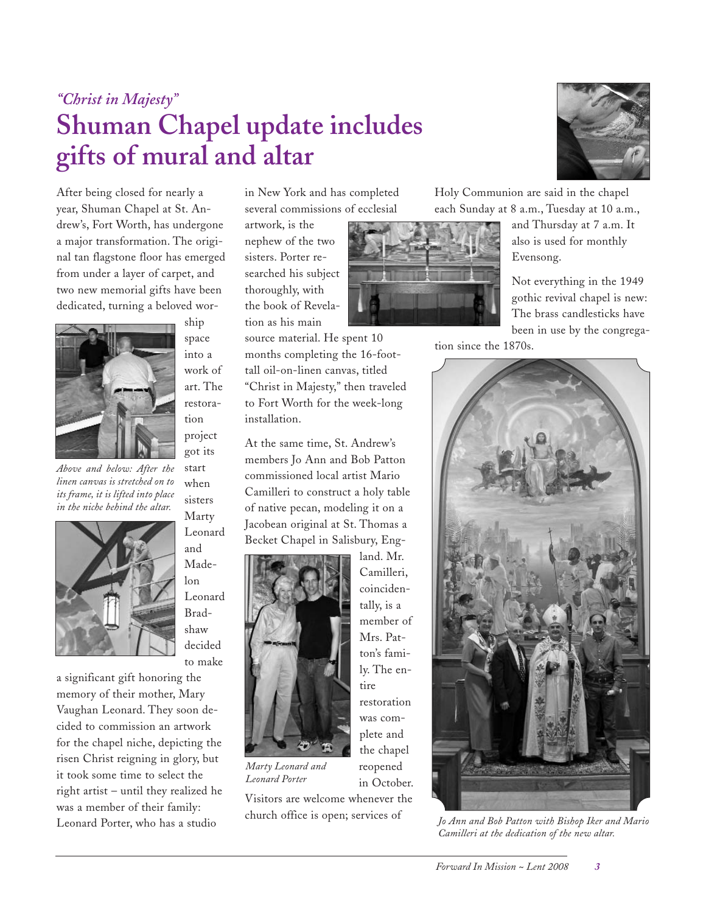## *"Christ in Majesty"* **Shuman Chapel update includes gifts of mural and altar**

After being closed for nearly a year, Shuman Chapel at St. Andrew's, Fort Worth, has undergone a major transformation. The original tan flagstone floor has emerged from under a layer of carpet, and two new memorial gifts have been dedicated, turning a beloved wor-



*Above and below: After the linen canvas is stretched on to its frame, it is lifted into place in the niche behind the altar.*



work of art. The restoration project got its start when

> sisters Marty

ship space into a

Leonard and Madelon Leonard Bradshaw decided to make

a significant gift honoring the memory of their mother, Mary Vaughan Leonard. They soon decided to commission an artwork for the chapel niche, depicting the risen Christ reigning in glory, but it took some time to select the right artist – until they realized he was a member of their family: Leonard Porter, who has a studio

in New York and has completed several commissions of ecclesial

artwork, is the nephew of the two sisters. Porter researched his subject thoroughly, with the book of Revelation as his main

source material. He spent 10 months completing the 16-foottall oil-on-linen canvas, titled "Christ in Majesty," then traveled to Fort Worth for the week-long installation.

At the same time, St. Andrew's members Jo Ann and Bob Patton commissioned local artist Mario Camilleri to construct a holy table of native pecan, modeling it on a Jacobean original at St. Thomas a Becket Chapel in Salisbury, Eng-



*Marty Leonard and Leonard Porter*

Visitors are welcome whenever the church office is open; services of

tion since the 1870s.



Holy Communion are said in the chapel each Sunday at 8 a.m., Tuesday at 10 a.m.,

and Thursday at 7 a.m. It also is used for monthly Evensong.

Not everything in the 1949 gothic revival chapel is new: The brass candlesticks have been in use by the congrega-



*Jo Ann and Bob Patton with Bishop Iker and Mario Camilleri at the dedication of the new altar.*



land. Mr.

reopened in October.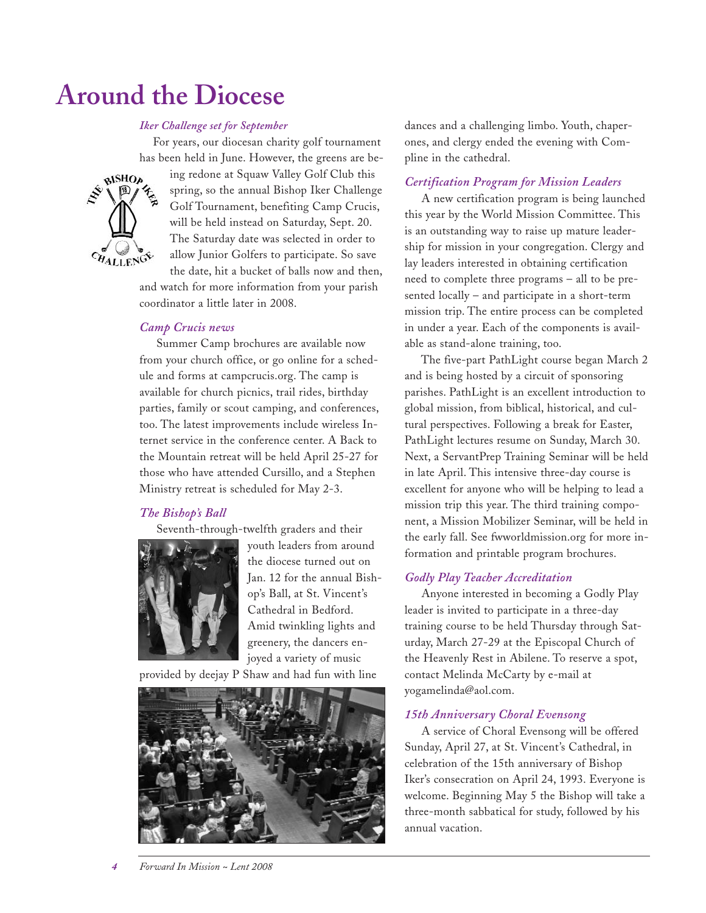## **Around the Diocese**

### *Iker Challenge set for September*

For years, our diocesan charity golf tournament has been held in June. However, the greens are be-



ing redone at Squaw Valley Golf Club this spring, so the annual Bishop Iker Challenge Golf Tournament, benefiting Camp Crucis, will be held instead on Saturday, Sept. 20. The Saturday date was selected in order to allow Junior Golfers to participate. So save the date, hit a bucket of balls now and then,

and watch for more information from your parish coordinator a little later in 2008.

#### *Camp Crucis news*

Summer Camp brochures are available now from your church office, or go online for a schedule and forms at campcrucis.org. The camp is available for church picnics, trail rides, birthday parties, family or scout camping, and conferences, too. The latest improvements include wireless Internet service in the conference center. A Back to the Mountain retreat will be held April 25-27 for those who have attended Cursillo, and a Stephen Ministry retreat is scheduled for May 2-3.

### *The Bishop's Ball*

Seventh-through-twelfth graders and their



youth leaders from around the diocese turned out on Jan. 12 for the annual Bishop's Ball, at St. Vincent's Cathedral in Bedford. Amid twinkling lights and greenery, the dancers enjoyed a variety of music

provided by deejay P Shaw and had fun with line



dances and a challenging limbo. Youth, chaperones, and clergy ended the evening with Compline in the cathedral.

#### *Certification Program for Mission Leaders*

A new certification program is being launched this year by the World Mission Committee. This is an outstanding way to raise up mature leadership for mission in your congregation. Clergy and lay leaders interested in obtaining certification need to complete three programs – all to be presented locally – and participate in a short-term mission trip. The entire process can be completed in under a year. Each of the components is available as stand-alone training, too.

The five-part PathLight course began March 2 and is being hosted by a circuit of sponsoring parishes. PathLight is an excellent introduction to global mission, from biblical, historical, and cultural perspectives. Following a break for Easter, PathLight lectures resume on Sunday, March 30. Next, a ServantPrep Training Seminar will be held in late April. This intensive three-day course is excellent for anyone who will be helping to lead a mission trip this year. The third training component, a Mission Mobilizer Seminar, will be held in the early fall. See fwworldmission.org for more information and printable program brochures.

### *Godly Play Teacher Accreditation*

Anyone interested in becoming a Godly Play leader is invited to participate in a three-day training course to be held Thursday through Saturday, March 27-29 at the Episcopal Church of the Heavenly Rest in Abilene. To reserve a spot, contact Melinda McCarty by e-mail at yogamelinda@aol.com.

#### *15th Anniversary Choral Evensong*

A service of Choral Evensong will be offered Sunday, April 27, at St. Vincent's Cathedral, in celebration of the 15th anniversary of Bishop Iker's consecration on April 24, 1993. Everyone is welcome. Beginning May 5 the Bishop will take a three-month sabbatical for study, followed by his annual vacation.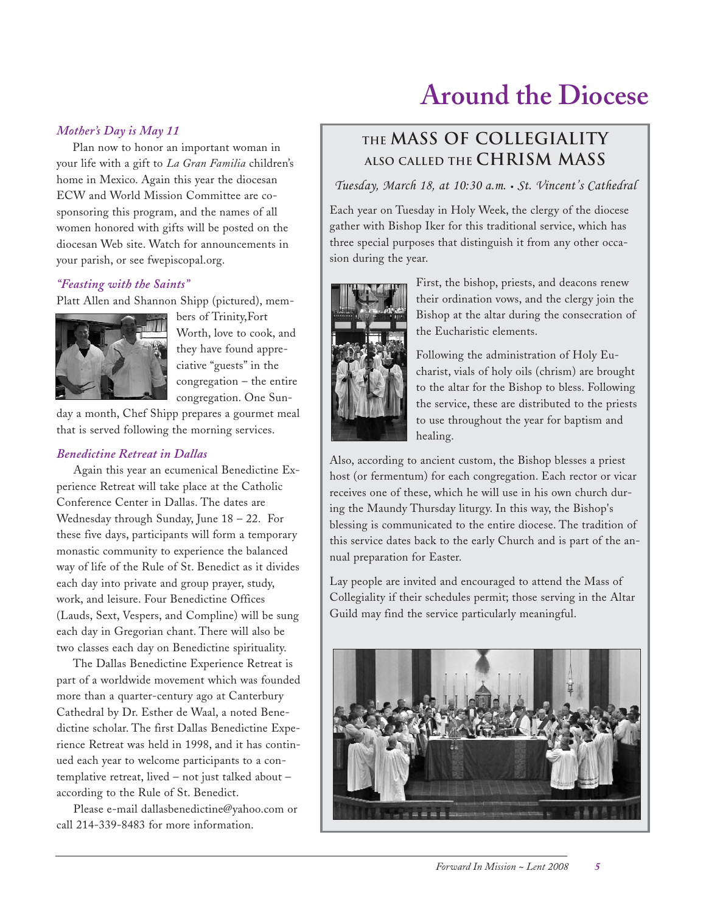# **Around the Diocese**

### *Mother's Day is May 11*

Plan now to honor an important woman in your life with a gift to *La Gran Familia* children's home in Mexico. Again this year the diocesan ECW and World Mission Committee are cosponsoring this program, and the names of all women honored with gifts will be posted on the diocesan Web site. Watch for announcements in your parish, or see fwepiscopal.org.

### *"Feasting with the Saints"*

Platt Allen and Shannon Shipp (pictured), mem-



bers of Trinity,Fort Worth, love to cook, and they have found appreciative "guests" in the congregation – the entire congregation. One Sun-

day a month, Chef Shipp prepares a gourmet meal that is served following the morning services.

### *Benedictine Retreat in Dallas*

Again this year an ecumenical Benedictine Experience Retreat will take place at the Catholic Conference Center in Dallas. The dates are Wednesday through Sunday, June 18 – 22. For these five days, participants will form a temporary monastic community to experience the balanced way of life of the Rule of St. Benedict as it divides each day into private and group prayer, study, work, and leisure. Four Benedictine Offices (Lauds, Sext, Vespers, and Compline) will be sung each day in Gregorian chant. There will also be two classes each day on Benedictine spirituality.

The Dallas Benedictine Experience Retreat is part of a worldwide movement which was founded more than a quarter-century ago at Canterbury Cathedral by Dr. Esther de Waal, a noted Benedictine scholar. The first Dallas Benedictine Experience Retreat was held in 1998, and it has continued each year to welcome participants to a contemplative retreat, lived – not just talked about – according to the Rule of St. Benedict.

Please e-mail dallasbenedictine@yahoo.com or call 214-339-8483 for more information.

### **the Mass of Collegiality also called the Chrism Mass**

*Tuesday, March 18, at 10:30 a.m. • St. Vincent's Cathedral*

Each year on Tuesday in Holy Week, the clergy of the diocese gather with Bishop Iker for this traditional service, which has three special purposes that distinguish it from any other occasion during the year.



First, the bishop, priests, and deacons renew their ordination vows, and the clergy join the Bishop at the altar during the consecration of the Eucharistic elements.

Following the administration of Holy Eucharist, vials of holy oils (chrism) are brought to the altar for the Bishop to bless. Following the service, these are distributed to the priests to use throughout the year for baptism and healing.

Also, according to ancient custom, the Bishop blesses a priest host (or fermentum) for each congregation. Each rector or vicar receives one of these, which he will use in his own church during the Maundy Thursday liturgy. In this way, the Bishop's blessing is communicated to the entire diocese. The tradition of this service dates back to the early Church and is part of the annual preparation for Easter.

Lay people are invited and encouraged to attend the Mass of Collegiality if their schedules permit; those serving in the Altar Guild may find the service particularly meaningful.

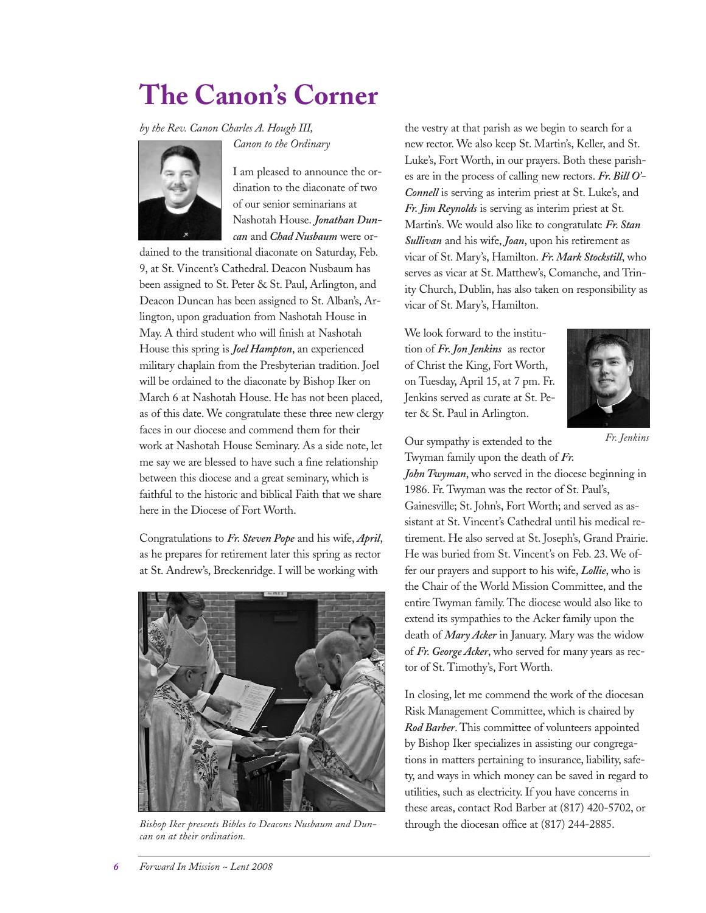# **The Canon's Corner**

*by the Rev. Canon Charles A. Hough III,*





I am pleased to announce the ordination to the diaconate of two of our senior seminarians at Nashotah House. *Jonathan Duncan* and *Chad Nusbaum* were or-

dained to the transitional diaconate on Saturday, Feb. 9, at St. Vincent's Cathedral. Deacon Nusbaum has been assigned to St. Peter & St. Paul, Arlington, and Deacon Duncan has been assigned to St. Alban's, Arlington, upon graduation from Nashotah House in May. A third student who will finish at Nashotah House this spring is *Joel Hampton*, an experienced military chaplain from the Presbyterian tradition. Joel will be ordained to the diaconate by Bishop Iker on March 6 at Nashotah House. He has not been placed, as of this date. We congratulate these three new clergy faces in our diocese and commend them for their work at Nashotah House Seminary. As a side note, let me say we are blessed to have such a fine relationship between this diocese and a great seminary, which is faithful to the historic and biblical Faith that we share here in the Diocese of Fort Worth.

Congratulations to *Fr. Steven Pope* and his wife, *April*, as he prepares for retirement later this spring as rector at St. Andrew's, Breckenridge. I will be working with



*Bishop Iker presents Bibles to Deacons Nusbaum and Duncan on at their ordination.*

the vestry at that parish as we begin to search for a new rector. We also keep St. Martin's, Keller, and St. Luke's, Fort Worth, in our prayers. Both these parishes are in the process of calling new rectors. *Fr. Bill O'- Connell* is serving as interim priest at St. Luke's, and *Fr. Jim Reynolds* is serving as interim priest at St. Martin's. We would also like to congratulate *Fr. Stan Sullivan* and his wife, *Joan*, upon his retirement as vicar of St. Mary's, Hamilton. *Fr. Mark Stockstill*, who serves as vicar at St. Matthew's, Comanche, and Trinity Church, Dublin, has also taken on responsibility as vicar of St. Mary's, Hamilton.

We look forward to the institution of *Fr. Jon Jenkins* as rector of Christ the King, Fort Worth, on Tuesday, April 15, at 7 pm. Fr. Jenkins served as curate at St. Peter & St. Paul in Arlington.



*Fr. Jenkins*

Our sympathy is extended to the Twyman family upon the death of *Fr.*

*John Twyman*, who served in the diocese beginning in 1986. Fr. Twyman was the rector of St. Paul's,

Gainesville; St. John's, Fort Worth; and served as assistant at St. Vincent's Cathedral until his medical retirement. He also served at St. Joseph's, Grand Prairie. He was buried from St. Vincent's on Feb. 23. We offer our prayers and support to his wife, *Lollie*, who is the Chair of the World Mission Committee, and the entire Twyman family. The diocese would also like to extend its sympathies to the Acker family upon the death of *Mary Acker* in January. Mary was the widow of *Fr. George Acker*, who served for many years as rector of St. Timothy's, Fort Worth.

In closing, let me commend the work of the diocesan Risk Management Committee, which is chaired by *Rod Barber*. This committee of volunteers appointed by Bishop Iker specializes in assisting our congregations in matters pertaining to insurance, liability, safety, and ways in which money can be saved in regard to utilities, such as electricity. If you have concerns in these areas, contact Rod Barber at (817) 420-5702, or through the diocesan office at (817) 244-2885.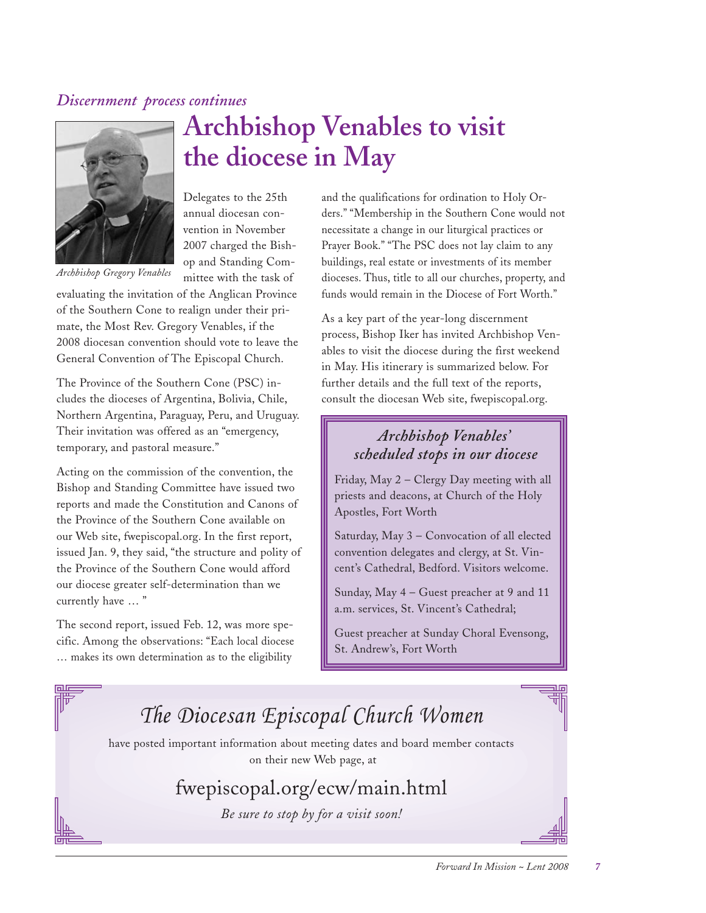### *Discernment process continues*



*Archbishop Gregory Venables*

**Archbishop Venables to visit the diocese in May**

Delegates to the 25th annual diocesan convention in November 2007 charged the Bishop and Standing Committee with the task of

evaluating the invitation of the Anglican Province of the Southern Cone to realign under their primate, the Most Rev. Gregory Venables, if the 2008 diocesan convention should vote to leave the General Convention of The Episcopal Church.

The Province of the Southern Cone (PSC) includes the dioceses of Argentina, Bolivia, Chile, Northern Argentina, Paraguay, Peru, and Uruguay. Their invitation was offered as an "emergency, temporary, and pastoral measure."

Acting on the commission of the convention, the Bishop and Standing Committee have issued two reports and made the Constitution and Canons of the Province of the Southern Cone available on our Web site, fwepiscopal.org. In the first report, issued Jan. 9, they said, "the structure and polity of the Province of the Southern Cone would afford our diocese greater self-determination than we currently have … "

The second report, issued Feb. 12, was more specific. Among the observations: "Each local diocese … makes its own determination as to the eligibility

and the qualifications for ordination to Holy Orders." "Membership in the Southern Cone would not necessitate a change in our liturgical practices or Prayer Book." "The PSC does not lay claim to any buildings, real estate or investments of its member dioceses. Thus, title to all our churches, property, and funds would remain in the Diocese of Fort Worth."

As a key part of the year-long discernment process, Bishop Iker has invited Archbishop Venables to visit the diocese during the first weekend in May. His itinerary is summarized below. For further details and the full text of the reports, consult the diocesan Web site, fwepiscopal.org.

### *Archbishop Venables' scheduled stops in our diocese*

Friday, May 2 – Clergy Day meeting with all priests and deacons, at Church of the Holy Apostles, Fort Worth

Saturday, May 3 – Convocation of all elected convention delegates and clergy, at St. Vincent's Cathedral, Bedford. Visitors welcome.

Sunday, May 4 – Guest preacher at 9 and 11 a.m. services, St. Vincent's Cathedral;

Guest preacher at Sunday Choral Evensong, St. Andrew's, Fort Worth